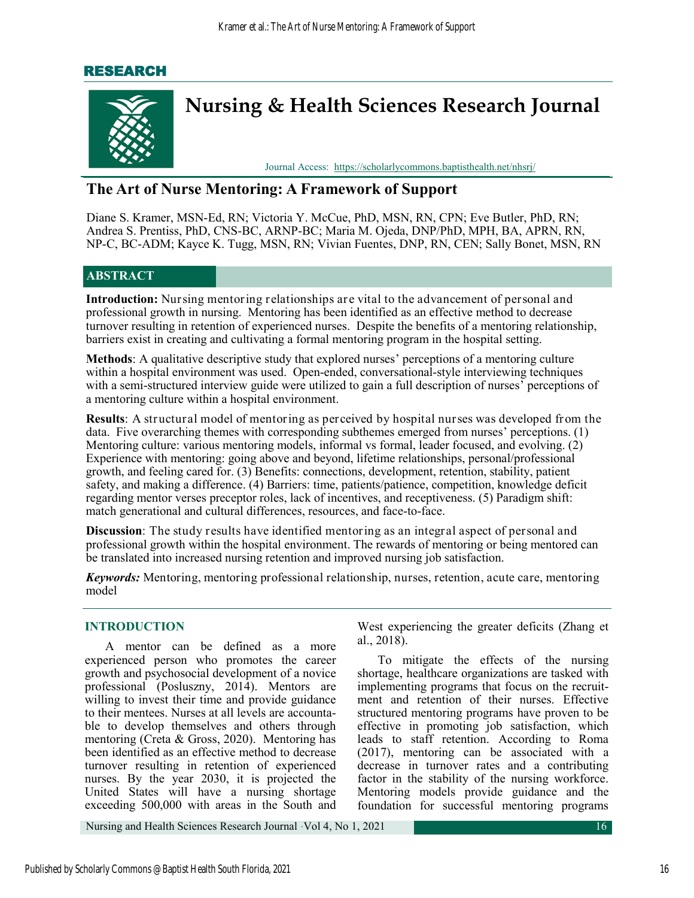## RESEARCH



# **The Art of Nurse Mentoring: A Framework of Support**

Diane S. Kramer, MSN-Ed, RN; Victoria Y. McCue, PhD, MSN, RN, CPN; Eve Butler, PhD, RN; Andrea S. Prentiss, PhD, CNS-BC, ARNP-BC; Maria M. Ojeda, DNP/PhD, MPH, BA, APRN, RN, NP-C, BC-ADM; Kayce K. Tugg, MSN, RN; Vivian Fuentes, DNP, RN, CEN; Sally Bonet, MSN, RN

## **ABSTRACT**

**Introduction:** Nursing mentoring relationships are vital to the advancement of personal and professional growth in nursing. Mentoring has been identified as an effective method to decrease turnover resulting in retention of experienced nurses. Despite the benefits of a mentoring relationship, barriers exist in creating and cultivating a formal mentoring program in the hospital setting.

**Methods**: A qualitative descriptive study that explored nurses' perceptions of a mentoring culture within a hospital environment was used. Open-ended, conversational-style interviewing techniques with a semi-structured interview guide were utilized to gain a full description of nurses' perceptions of a mentoring culture within a hospital environment.

**Results**: A structural model of mentoring as perceived by hospital nurses was developed from the data. Five overarching themes with corresponding subthemes emerged from nurses' perceptions. (1) Mentoring culture: various mentoring models, informal vs formal, leader focused, and evolving. (2) Experience with mentoring: going above and beyond, lifetime relationships, personal/professional growth, and feeling cared for. (3) Benefits: connections, development, retention, stability, patient safety, and making a difference. (4) Barriers: time, patients/patience, competition, knowledge deficit regarding mentor verses preceptor roles, lack of incentives, and receptiveness. (5) Paradigm shift: match generational and cultural differences, resources, and face-to-face.

**Discussion**: The study results have identified mentoring as an integral aspect of personal and professional growth within the hospital environment. The rewards of mentoring or being mentored can be translated into increased nursing retention and improved nursing job satisfaction.

*Keywords:* Mentoring, mentoring professional relationship, nurses, retention, acute care, mentoring model

## **INTRODUCTION**

A mentor can be defined as a more experienced person who promotes the career growth and psychosocial development of a novice professional (Posluszny, 2014). Mentors are willing to invest their time and provide guidance to their mentees. Nurses at all levels are accountable to develop themselves and others through mentoring (Creta & Gross, 2020). Mentoring has been identified as an effective method to decrease turnover resulting in retention of experienced nurses. By the year 2030, it is projected the United States will have a nursing shortage exceeding 500,000 with areas in the South and

West experiencing the greater deficits ([Zhang](https://pubmed.ncbi.nlm.nih.gov/?term=Zhang+X&cauthor_id=29183169) et al., 2018).

To mitigate the effects of the nursing shortage, healthcare organizations are tasked with implementing programs that focus on the recruitment and retention of their nurses. Effective structured mentoring programs have proven to be effective in promoting job satisfaction, which leads to staff retention. According to Roma (2017), mentoring can be associated with a decrease in turnover rates and a contributing factor in the stability of the nursing workforce. Mentoring models provide guidance and the foundation for successful mentoring programs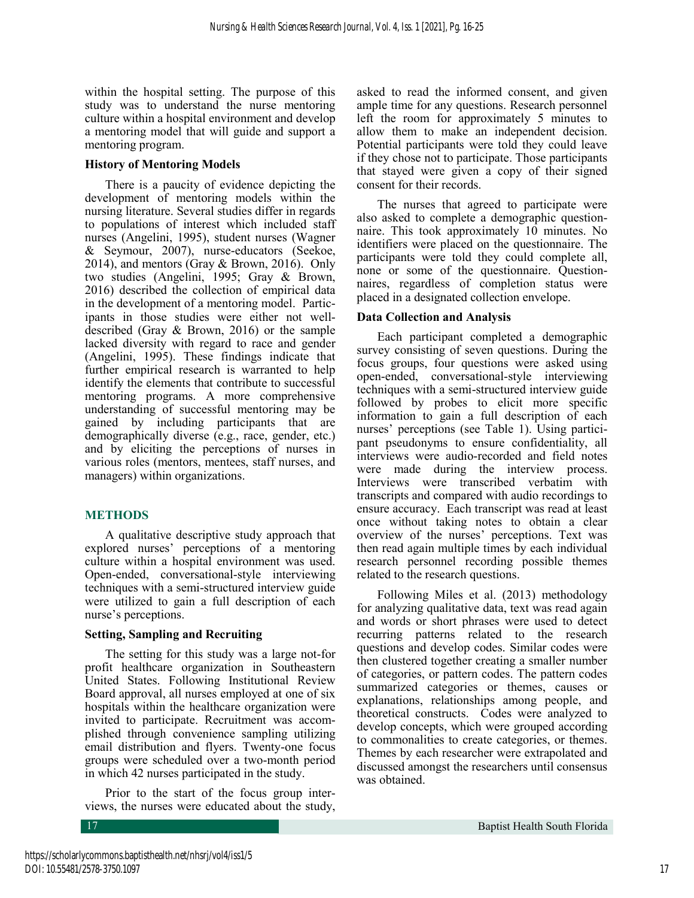within the hospital setting. The purpose of this study was to understand the nurse mentoring culture within a hospital environment and develop a mentoring model that will guide and support a mentoring program.

### **History of Mentoring Models**

There is a paucity of evidence depicting the development of mentoring models within the nursing literature. Several studies differ in regards to populations of interest which included staff nurses (Angelini, 1995), student nurses (Wagner & Seymour, 2007), nurse-educators (Seekoe, 2014), and mentors (Gray & Brown, 2016). Only two studies (Angelini, 1995; Gray & Brown, 2016) described the collection of empirical data in the development of a mentoring model. Participants in those studies were either not welldescribed (Gray & Brown, 2016) or the sample lacked diversity with regard to race and gender (Angelini, 1995). These findings indicate that further empirical research is warranted to help identify the elements that contribute to successful mentoring programs. A more comprehensive understanding of successful mentoring may be gained by including participants that are demographically diverse (e.g., race, gender, etc.) and by eliciting the perceptions of nurses in various roles (mentors, mentees, staff nurses, and managers) within organizations.

## **METHODS**

A qualitative descriptive study approach that explored nurses' perceptions of a mentoring culture within a hospital environment was used. Open-ended, conversational-style interviewing techniques with a semi-structured interview guide were utilized to gain a full description of each nurse's perceptions.

## **Setting, Sampling and Recruiting**

The setting for this study was a large not-for profit healthcare organization in Southeastern United States. Following Institutional Review Board approval, all nurses employed at one of six hospitals within the healthcare organization were invited to participate. Recruitment was accomplished through convenience sampling utilizing email distribution and flyers. Twenty-one focus groups were scheduled over a two-month period in which 42 nurses participated in the study.

Prior to the start of the focus group interviews, the nurses were educated about the study,

asked to read the informed consent, and given ample time for any questions. Research personnel left the room for approximately 5 minutes to allow them to make an independent decision. Potential participants were told they could leave if they chose not to participate. Those participants that stayed were given a copy of their signed consent for their records.

The nurses that agreed to participate were also asked to complete a demographic questionnaire. This took approximately 10 minutes. No identifiers were placed on the questionnaire. The participants were told they could complete all, none or some of the questionnaire. Questionnaires, regardless of completion status were placed in a designated collection envelope.

## **Data Collection and Analysis**

Each participant completed a demographic survey consisting of seven questions. During the focus groups, four questions were asked using open-ended, conversational-style interviewing techniques with a semi-structured interview guide followed by probes to elicit more specific information to gain a full description of each nurses' perceptions (see Table 1). Using participant pseudonyms to ensure confidentiality, all interviews were audio-recorded and field notes were made during the interview process. Interviews were transcribed verbatim with transcripts and compared with audio recordings to ensure accuracy. Each transcript was read at least once without taking notes to obtain a clear overview of the nurses' perceptions. Text was then read again multiple times by each individual research personnel recording possible themes related to the research questions.

Following Miles et al. (2013) methodology for analyzing qualitative data, text was read again and words or short phrases were used to detect recurring patterns related to the research questions and develop codes. Similar codes were then clustered together creating a smaller number of categories, or pattern codes. The pattern codes summarized categories or themes, causes or explanations, relationships among people, and theoretical constructs. Codes were analyzed to develop concepts, which were grouped according to commonalities to create categories, or themes. Themes by each researcher were extrapolated and discussed amongst the researchers until consensus was obtained.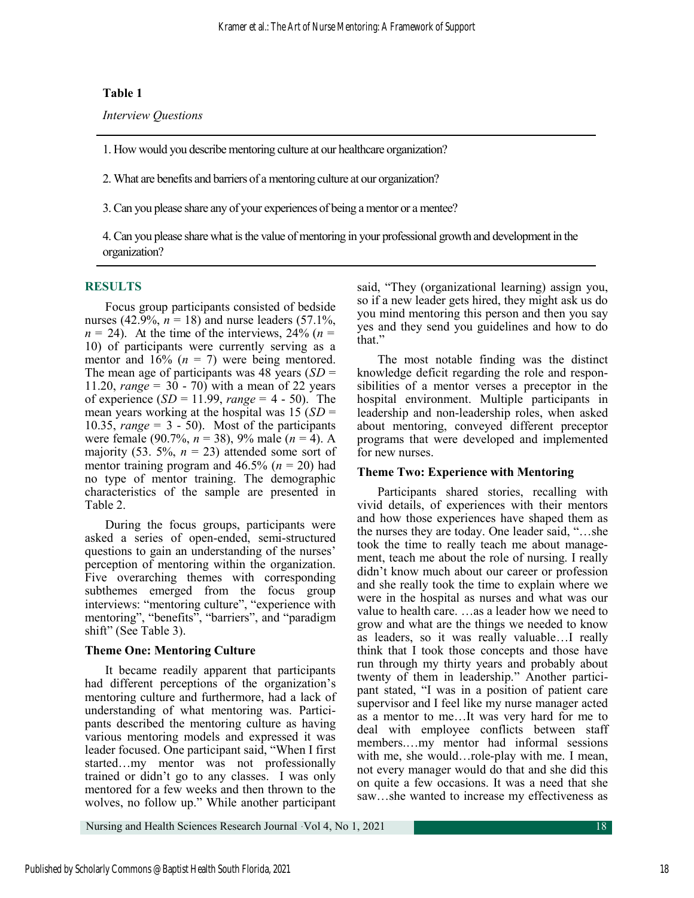## **Table 1**

*Interview Questions*

1. How would you describe mentoring culture at our healthcare organization?

2. What are benefits and barriers of a mentoring culture at our organization?

3. Can you please share any of your experiences of being a mentor or a mentee?

4. Can you please share what is the value of mentoring in your professional growth and development in the organization?

## **RESULTS**

Focus group participants consisted of bedside nurses (42.9%,  $n = 18$ ) and nurse leaders (57.1%,  $n = 24$ ). At the time of the interviews, 24% ( $n =$ 10) of participants were currently serving as a mentor and  $16\%$  ( $n = 7$ ) were being mentored. The mean age of participants was 48 years (*SD* = 11.20, *range* = 30 - 70) with a mean of 22 years of experience (*SD* = 11.99, *range* = 4 - 50). The mean years working at the hospital was 15 (*SD* = 10.35, *range* = 3 - 50). Most of the participants were female (90.7%, *n* = 38), 9% male (*n* = 4). A majority (53. 5%,  $n = 23$ ) attended some sort of mentor training program and 46.5% (*n* = 20) had no type of mentor training. The demographic characteristics of the sample are presented in Table 2.

During the focus groups, participants were asked a series of open-ended, semi-structured questions to gain an understanding of the nurses' perception of mentoring within the organization. Five overarching themes with corresponding subthemes emerged from the focus group interviews: "mentoring culture", "experience with mentoring", "benefits", "barriers", and "paradigm shift" (See Table 3).

## **Theme One: Mentoring Culture**

It became readily apparent that participants had different perceptions of the organization's mentoring culture and furthermore, had a lack of understanding of what mentoring was. Participants described the mentoring culture as having various mentoring models and expressed it was leader focused. One participant said, "When I first started…my mentor was not professionally trained or didn't go to any classes. I was only mentored for a few weeks and then thrown to the wolves, no follow up." While another participant said, "They (organizational learning) assign you, so if a new leader gets hired, they might ask us do you mind mentoring this person and then you say yes and they send you guidelines and how to do that."

The most notable finding was the distinct knowledge deficit regarding the role and responsibilities of a mentor verses a preceptor in the hospital environment. Multiple participants in leadership and non-leadership roles, when asked about mentoring, conveyed different preceptor programs that were developed and implemented for new nurses.

## **Theme Two: Experience with Mentoring**

Participants shared stories, recalling with vivid details, of experiences with their mentors and how those experiences have shaped them as the nurses they are today. One leader said, "…she took the time to really teach me about management, teach me about the role of nursing. I really didn't know much about our career or profession and she really took the time to explain where we were in the hospital as nurses and what was our value to health care. …as a leader how we need to grow and what are the things we needed to know as leaders, so it was really valuable…I really think that I took those concepts and those have run through my thirty years and probably about twenty of them in leadership." Another participant stated, "I was in a position of patient care supervisor and I feel like my nurse manager acted as a mentor to me…It was very hard for me to deal with employee conflicts between staff members.…my mentor had informal sessions with me, she would...role-play with me. I mean, not every manager would do that and she did this on quite a few occasions. It was a need that she saw…she wanted to increase my effectiveness as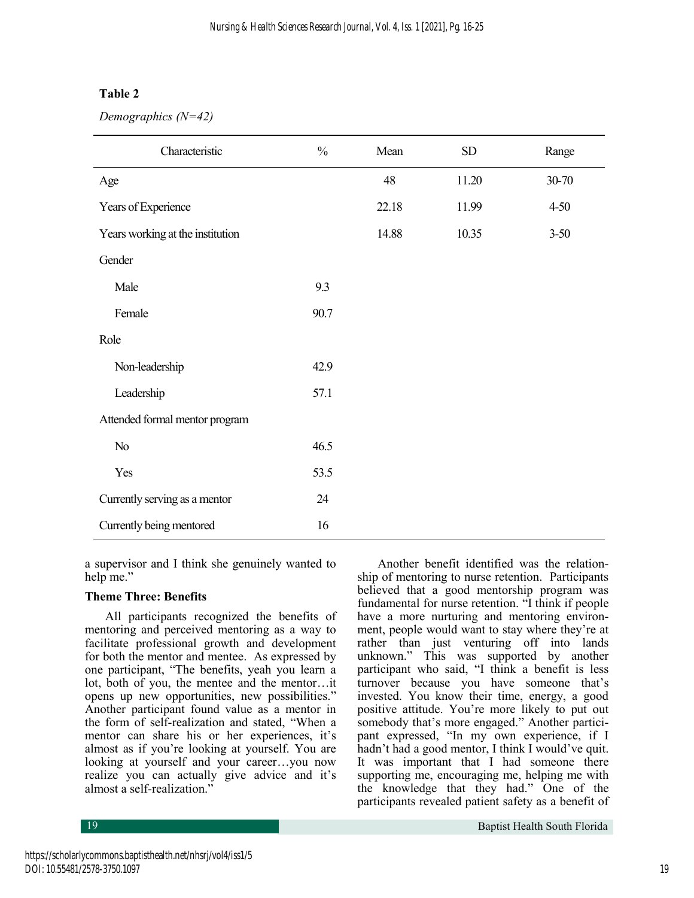## **Table 2**

*Demographics (N=42)*

| Characteristic                   | $\frac{0}{0}$ | Mean  | ${\rm SD}$ | Range    |
|----------------------------------|---------------|-------|------------|----------|
| Age                              |               | 48    | 11.20      | 30-70    |
| Years of Experience              |               | 22.18 | 11.99      | $4 - 50$ |
| Years working at the institution |               | 14.88 | 10.35      | $3 - 50$ |
| Gender                           |               |       |            |          |
| Male                             | 9.3           |       |            |          |
| Female                           | 90.7          |       |            |          |
| Role                             |               |       |            |          |
| Non-leadership                   | 42.9          |       |            |          |
| Leadership                       | 57.1          |       |            |          |
| Attended formal mentor program   |               |       |            |          |
| No                               | 46.5          |       |            |          |
| Yes                              | 53.5          |       |            |          |
| Currently serving as a mentor    | 24            |       |            |          |
| Currently being mentored         | 16            |       |            |          |

a supervisor and I think she genuinely wanted to help me."

#### **Theme Three: Benefits**

All participants recognized the benefits of mentoring and perceived mentoring as a way to facilitate professional growth and development for both the mentor and mentee. As expressed by one participant, "The benefits, yeah you learn a lot, both of you, the mentee and the mentor…it opens up new opportunities, new possibilities." Another participant found value as a mentor in the form of self-realization and stated, "When a mentor can share his or her experiences, it's almost as if you're looking at yourself. You are looking at yourself and your career…you now realize you can actually give advice and it's almost a self-realization."

Another benefit identified was the relationship of mentoring to nurse retention. Participants believed that a good mentorship program was fundamental for nurse retention. "I think if people have a more nurturing and mentoring environment, people would want to stay where they're at rather than just venturing off into lands unknown." This was supported by another participant who said, "I think a benefit is less turnover because you have someone that's invested. You know their time, energy, a good positive attitude. You're more likely to put out somebody that's more engaged." Another participant expressed, "In my own experience, if I hadn't had a good mentor, I think I would've quit. It was important that I had someone there supporting me, encouraging me, helping me with the knowledge that they had." One of the participants revealed patient safety as a benefit of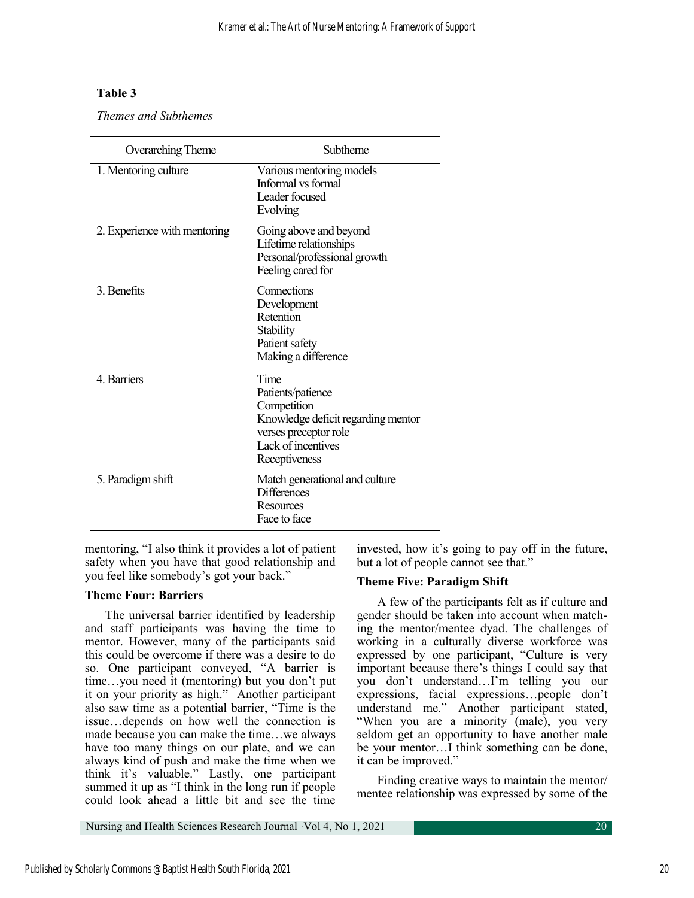## **Table 3**

*Themes and Subthemes*

| Overarching Theme            | Subtheme                                                                                                                                       |
|------------------------------|------------------------------------------------------------------------------------------------------------------------------------------------|
| 1. Mentoring culture         | Various mentoring models<br>Informal vs formal<br>Leader focused<br>Evolving                                                                   |
| 2. Experience with mentoring | Going above and beyond<br>Lifetime relationships<br>Personal/professional growth<br>Feeling cared for                                          |
| 3. Benefits                  | Connections<br>Development<br>Retention<br>Stability<br>Patient safety<br>Making a difference                                                  |
| 4. Barriers                  | Time<br>Patients/patience<br>Competition<br>Knowledge deficit regarding mentor<br>verses preceptor role<br>Lack of incentives<br>Receptiveness |
| 5. Paradigm shift            | Match generational and culture<br><b>Differences</b><br>Resources<br>Face to face                                                              |

mentoring, "I also think it provides a lot of patient safety when you have that good relationship and you feel like somebody's got your back."

## **Theme Four: Barriers**

The universal barrier identified by leadership and staff participants was having the time to mentor. However, many of the participants said this could be overcome if there was a desire to do so. One participant conveyed, "A barrier is time…you need it (mentoring) but you don't put it on your priority as high." Another participant also saw time as a potential barrier, "Time is the issue…depends on how well the connection is made because you can make the time…we always have too many things on our plate, and we can always kind of push and make the time when we think it's valuable." Lastly, one participant summed it up as "I think in the long run if people could look ahead a little bit and see the time invested, how it's going to pay off in the future, but a lot of people cannot see that."

#### **Theme Five: Paradigm Shift**

A few of the participants felt as if culture and gender should be taken into account when matching the mentor/mentee dyad. The challenges of working in a culturally diverse workforce was expressed by one participant, "Culture is very important because there's things I could say that you don't understand…I'm telling you our expressions, facial expressions…people don't understand me." Another participant stated, "When you are a minority (male), you very seldom get an opportunity to have another male be your mentor…I think something can be done, it can be improved."

Finding creative ways to maintain the mentor/ mentee relationship was expressed by some of the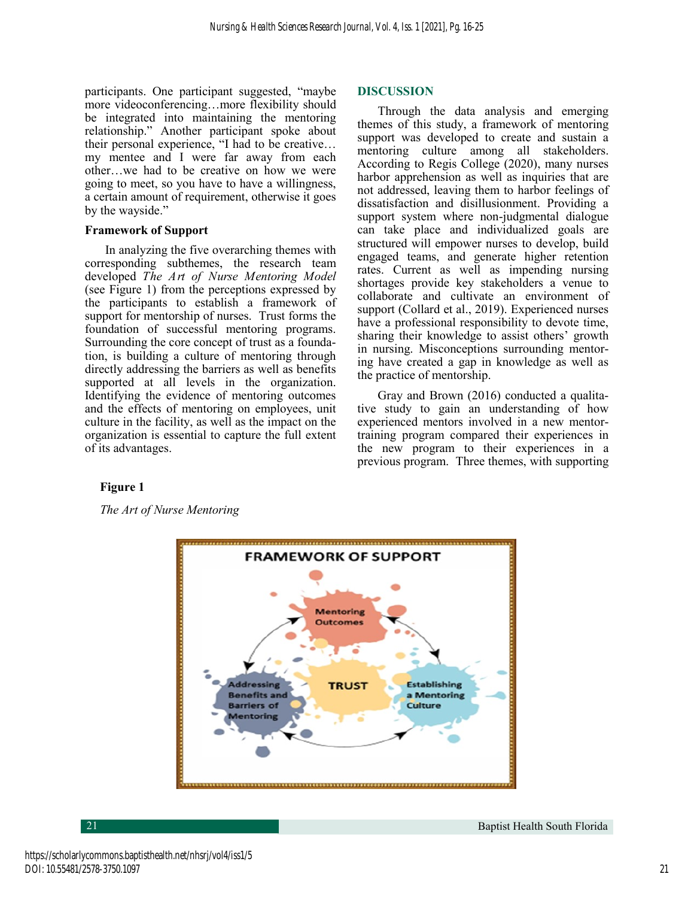participants. One participant suggested, "maybe more videoconferencing…more flexibility should be integrated into maintaining the mentoring relationship." Another participant spoke about their personal experience, "I had to be creative… my mentee and I were far away from each other…we had to be creative on how we were going to meet, so you have to have a willingness, a certain amount of requirement, otherwise it goes by the wayside."

#### **Framework of Support**

In analyzing the five overarching themes with corresponding subthemes, the research team developed *The Art of Nurse Mentoring Model* (see Figure 1) from the perceptions expressed by the participants to establish a framework of support for mentorship of nurses. Trust forms the foundation of successful mentoring programs. Surrounding the core concept of trust as a foundation, is building a culture of mentoring through directly addressing the barriers as well as benefits supported at all levels in the organization. Identifying the evidence of mentoring outcomes and the effects of mentoring on employees, unit culture in the facility, as well as the impact on the organization is essential to capture the full extent of its advantages.

#### **DISCUSSION**

Through the data analysis and emerging themes of this study, a framework of mentoring support was developed to create and sustain a mentoring culture among all stakeholders. According to Regis College (2020), many nurses harbor apprehension as well as inquiries that are not addressed, leaving them to harbor feelings of dissatisfaction and disillusionment. Providing a support system where non-judgmental dialogue can take place and individualized goals are structured will empower nurses to develop, build engaged teams, and generate higher retention rates. Current as well as impending nursing shortages provide key stakeholders a venue to collaborate and cultivate an environment of support (Collard et al., 2019). Experienced nurses have a professional responsibility to devote time, sharing their knowledge to assist others' growth in nursing. Misconceptions surrounding mentoring have created a gap in knowledge as well as the practice of mentorship.

Gray and Brown (2016) conducted a qualitative study to gain an understanding of how experienced mentors involved in a new mentortraining program compared their experiences in the new program to their experiences in a previous program. Three themes, with supporting

## **Figure 1**

*The Art of Nurse Mentoring*





**21** Baptist Health South Florida **Baptist Health South Florida** Baptist Health South Florida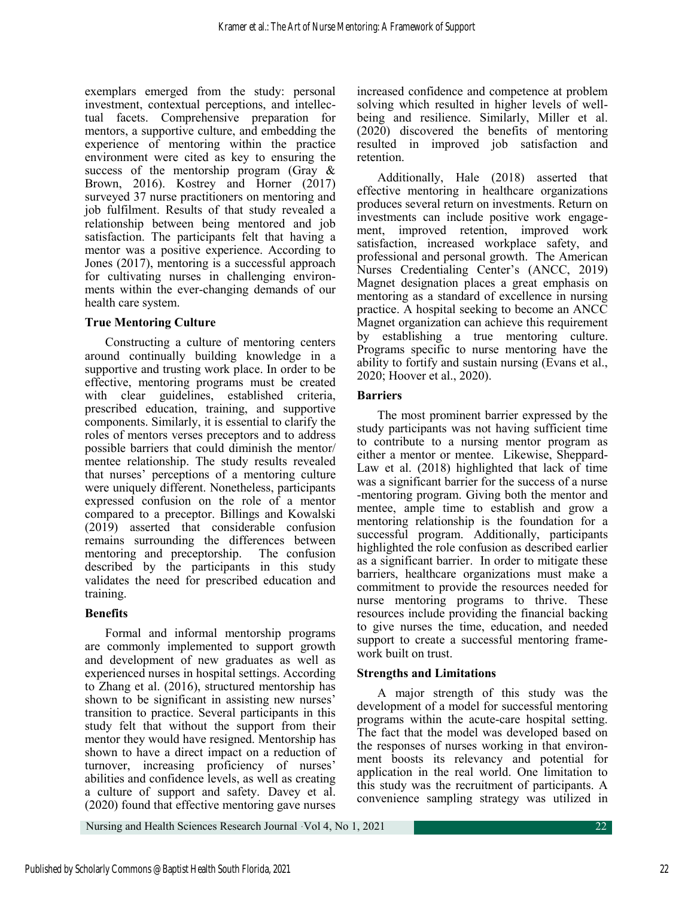exemplars emerged from the study: personal investment, contextual perceptions, and intellectual facets. Comprehensive preparation for mentors, a supportive culture, and embedding the experience of mentoring within the practice environment were cited as key to ensuring the success of the mentorship program (Gray & Brown, 2016). Kostrey and Horner (2017) surveyed 37 nurse practitioners on mentoring and job fulfilment. Results of that study revealed a relationship between being mentored and job satisfaction. The participants felt that having a mentor was a positive experience. According to Jones (2017), mentoring is a successful approach for cultivating nurses in challenging environments within the ever-changing demands of our health care system.

## **True Mentoring Culture**

Constructing a culture of mentoring centers around continually building knowledge in a supportive and trusting work place. In order to be effective, mentoring programs must be created with clear guidelines, established criteria, prescribed education, training, and supportive components. Similarly, it is essential to clarify the roles of mentors verses preceptors and to address possible barriers that could diminish the mentor/ mentee relationship. The study results revealed that nurses' perceptions of a mentoring culture were uniquely different. Nonetheless, participants expressed confusion on the role of a mentor compared to a preceptor. Billings and Kowalski (2019) asserted that considerable confusion remains surrounding the differences between mentoring and preceptorship. The confusion described by the participants in this study validates the need for prescribed education and training.

## **Benefits**

Formal and informal mentorship programs are commonly implemented to support growth and development of new graduates as well as experienced nurses in hospital settings. According to Zhang et al. (2016), structured mentorship has shown to be significant in assisting new nurses' transition to practice. Several participants in this study felt that without the support from their mentor they would have resigned. Mentorship has shown to have a direct impact on a reduction of turnover, increasing proficiency of nurses' abilities and confidence levels, as well as creating a culture of support and safety. Davey et al. (2020) found that effective mentoring gave nurses

increased confidence and competence at problem solving which resulted in higher levels of wellbeing and resilience. Similarly, Miller et al. (2020) discovered the benefits of mentoring resulted in improved job satisfaction and retention.

Additionally, Hale (2018) asserted that effective mentoring in healthcare organizations produces several return on investments. Return on investments can include positive work engagement, improved retention, improved work satisfaction, increased workplace safety, and professional and personal growth. The American Nurses Credentialing Center's (ANCC, 2019) Magnet designation places a great emphasis on mentoring as a standard of excellence in nursing practice. A hospital seeking to become an ANCC Magnet organization can achieve this requirement by establishing a true mentoring culture. Programs specific to nurse mentoring have the ability to fortify and sustain nursing (Evans et al., 2020; Hoover et al., 2020).

## **Barriers**

The most prominent barrier expressed by the study participants was not having sufficient time to contribute to a nursing mentor program as either a mentor or mentee. Likewise, Sheppard-Law et al.  $(2018)$  highlighted that lack of time was a significant barrier for the success of a nurse -mentoring program. Giving both the mentor and mentee, ample time to establish and grow a mentoring relationship is the foundation for a successful program. Additionally, participants highlighted the role confusion as described earlier as a significant barrier. In order to mitigate these barriers, healthcare organizations must make a commitment to provide the resources needed for nurse mentoring programs to thrive. These resources include providing the financial backing to give nurses the time, education, and needed support to create a successful mentoring framework built on trust.

## **Strengths and Limitations**

A major strength of this study was the development of a model for successful mentoring programs within the acute-care hospital setting. The fact that the model was developed based on the responses of nurses working in that environment boosts its relevancy and potential for application in the real world. One limitation to this study was the recruitment of participants. A convenience sampling strategy was utilized in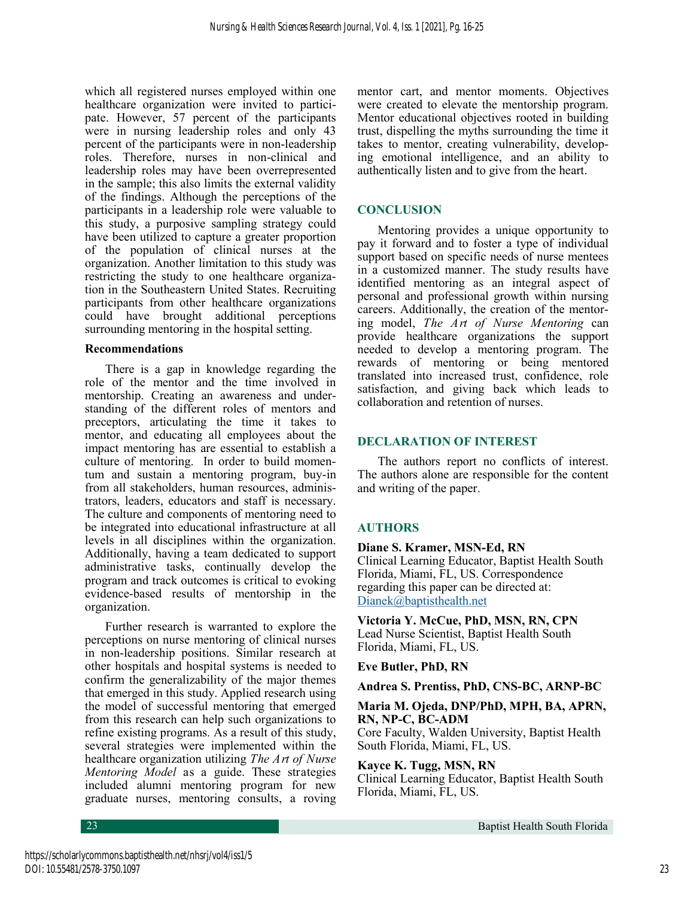which all registered nurses employed within one healthcare organization were invited to participate. However, 57 percent of the participants were in nursing leadership roles and only 43 percent of the participants were in non-leadership roles. Therefore, nurses in non-clinical and leadership roles may have been overrepresented in the sample; this also limits the external validity of the findings. Although the perceptions of the participants in a leadership role were valuable to this study, a purposive sampling strategy could have been utilized to capture a greater proportion of the population of clinical nurses at the organization. Another limitation to this study was restricting the study to one healthcare organization in the Southeastern United States. Recruiting participants from other healthcare organizations could have brought additional perceptions surrounding mentoring in the hospital setting.

#### **Recommendations**

There is a gap in knowledge regarding the role of the mentor and the time involved in mentorship. Creating an awareness and understanding of the different roles of mentors and preceptors, articulating the time it takes to mentor, and educating all employees about the impact mentoring has are essential to establish a culture of mentoring. In order to build momentum and sustain a mentoring program, buy-in from all stakeholders, human resources, administrators, leaders, educators and staff is necessary. The culture and components of mentoring need to be integrated into educational infrastructure at all levels in all disciplines within the organization. Additionally, having a team dedicated to support administrative tasks, continually develop the program and track outcomes is critical to evoking evidence-based results of mentorship in the organization.

Further research is warranted to explore the perceptions on nurse mentoring of clinical nurses in non-leadership positions. Similar research at other hospitals and hospital systems is needed to confirm the generalizability of the major themes that emerged in this study. Applied research using the model of successful mentoring that emerged from this research can help such organizations to refine existing programs. As a result of this study, several strategies were implemented within the healthcare organization utilizing *The Art of Nurse Mentoring Model* as a guide. These strategies included alumni mentoring program for new graduate nurses, mentoring consults, a roving

mentor cart, and mentor moments. Objectives were created to elevate the mentorship program. Mentor educational objectives rooted in building trust, dispelling the myths surrounding the time it takes to mentor, creating vulnerability, developing emotional intelligence, and an ability to authentically listen and to give from the heart.

## **CONCLUSION**

Mentoring provides a unique opportunity to pay it forward and to foster a type of individual support based on specific needs of nurse mentees in a customized manner. The study results have identified mentoring as an integral aspect of personal and professional growth within nursing careers. Additionally, the creation of the mentoring model, *The Art of Nurse Mentoring* can provide healthcare organizations the support needed to develop a mentoring program. The rewards of mentoring or being mentored translated into increased trust, confidence, role satisfaction, and giving back which leads to collaboration and retention of nurses.

## **DECLARATION OF INTEREST**

The authors report no conflicts of interest. The authors alone are responsible for the content and writing of the paper.

## **AUTHORS**

**Diane S. Kramer, MSN-Ed, RN** Clinical Learning Educator, Baptist Health South Florida, Miami, FL, US. Correspondence regarding this paper can be directed at: [Dianek@baptisthealth.net](mailto:MrDavidSchneider@gmail.com)

**Victoria Y. McCue, PhD, MSN, RN, CPN** Lead Nurse Scientist, Baptist Health South Florida, Miami, FL, US.

## **Eve Butler, PhD, RN**

## **Andrea S. Prentiss, PhD, CNS-BC, ARNP-BC**

#### **Maria M. Ojeda, DNP/PhD, MPH, BA, APRN, RN, NP-C, BC-ADM**

Core Faculty, Walden University, Baptist Health South Florida, Miami, FL, US.

## **Kayce K. Tugg, MSN, RN**

Clinical Learning Educator, Baptist Health South Florida, Miami, FL, US.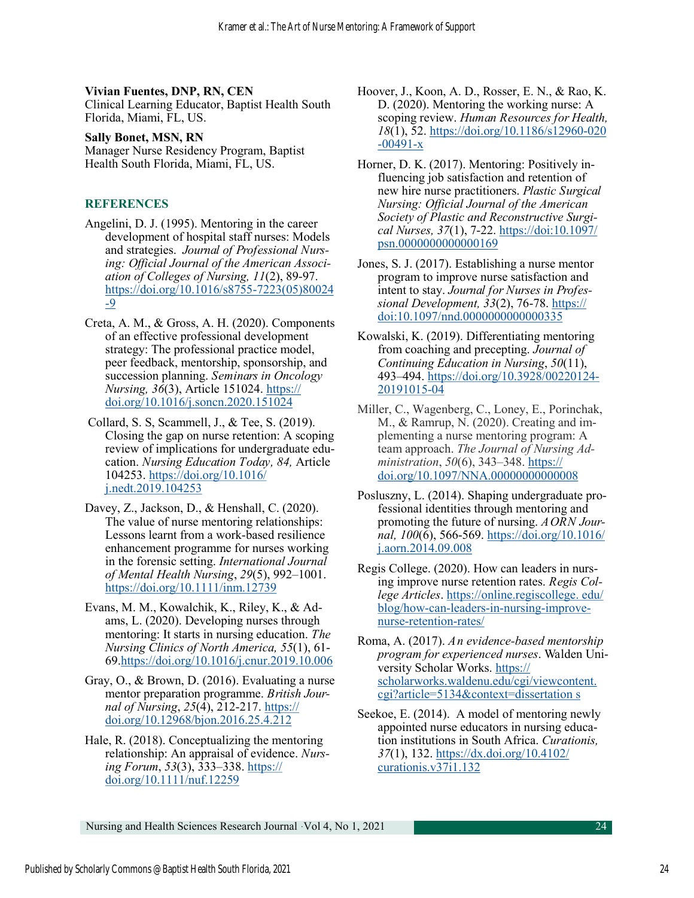## **Vivian Fuentes, DNP, RN, CEN**

Clinical Learning Educator, Baptist Health South Florida, Miami, FL, US.

### **Sally Bonet, MSN, RN**

Manager Nurse Residency Program, Baptist Health South Florida, Miami, FL, US.

## **REFERENCES**

- Angelini, D. J. (1995). Mentoring in the career development of hospital staff nurses: Models and strategies. *Journal of Professional Nursing: Official Journal of the American Association of Colleges of Nursing, 11*(2), 89-97. [https://doi.org/10.1016/s8755](https://doi.org/10.1016/s8755-7223(05)80024-9)-7223(05)80024 -[9](https://doi.org/10.1016/s8755-7223(05)80024-9)
- Creta, A. M., & Gross, A. H. (2020). Components of an effective professional development strategy: The professional practice model, peer feedback, mentorship, sponsorship, and succession planning. *Seminars in Oncology Nursing, 36*(3), Article 151024. [https://](https://doi.org/10.1016/j.soncn.2020.151024) [doi.org/10.1016/j.soncn.2020.151024](https://doi.org/10.1016/j.soncn.2020.151024)
- Collard, S. S, Scammell, J., & Tee, S. (2019). Closing the gap on nurse retention: A scoping review of implications for undergraduate education. *Nursing Education Today, 84,* Article 104253. [https://doi.org/10.1016/](https://doi.org/10.1016/j.nedt.2019.104253) [j.nedt.2019.104253](https://doi.org/10.1016/j.nedt.2019.104253)
- Davey, Z., Jackson, D., & Henshall, C. (2020). The value of nurse mentoring relationships: Lessons learnt from a work‐based resilience enhancement programme for nurses working in the forensic setting. *International Journal of Mental Health Nursing*, *29*(5), 992–1001. <https://doi.org/10.1111/inm.12739>
- Evans, M. M., Kowalchik, K., Riley, K., & Adams, L. (2020). Developing nurses through mentoring: It starts in nursing education. *The Nursing Clinics of North America, 55*(1), 61- 69.<https://doi.org/10.1016/j.cnur.2019.10.006>
- Gray, O., & Brown, D. (2016). Evaluating a nurse mentor preparation programme. *British Journal of Nursing*, *25*(4), 212-217. [https://](https://doi.org/10.12968/bjon.2016.25.4.212) [doi.org/10.12968/bjon.2016.25.4.212](https://doi.org/10.12968/bjon.2016.25.4.212)
- Hale, R. (2018). Conceptualizing the mentoring relationship: An appraisal of evidence. *Nursing Forum*, *53*(3), 333–338. [https://](https://doi.org/10.1111/nuf.12259) [doi.org/10.1111/nuf.12259](https://doi.org/10.1111/nuf.12259)
- Hoover, J., Koon, A. D., Rosser, E. N., & Rao, K. D. (2020). Mentoring the working nurse: A scoping review. *Human Resources for Health, 18*(1), 52. [https://doi.org/10.1186/s12960](https://doi.org/10.1186/s12960-020-00491-x)-020  $-00491-x$  $-00491-x$  $-00491-x$
- Horner, D. K. (2017). Mentoring: Positively influencing job satisfaction and retention of new hire nurse practitioners. *Plastic Surgical Nursing: Official Journal of the American Society of Plastic and Reconstructive Surgical Nurses, 37*(1), 7-22. [https://doi:10.1097/](https://doi:10.1097/psn.0000000000000169) [psn.0000000000000169](https://doi:10.1097/psn.0000000000000169)
- Jones, S. J. (2017). Establishing a nurse mentor program to improve nurse satisfaction and intent to stay. *Journal for Nurses in Professional Development, 33*(2), 76-78. [https://](https://doi:10.1097/nnd.0000000000000335) [doi:10.1097/nnd.0000000000000335](https://doi:10.1097/nnd.0000000000000335)
- Kowalski, K. (2019). Differentiating mentoring from coaching and precepting. *Journal of Continuing Education in Nursing*, *50*(11), 493–494. [https://doi.org/10.3928/00220124](https://doi.org/10.3928/00220124-20191015-04)- [20191015](https://doi.org/10.3928/00220124-20191015-04)-04
- Miller, C., Wagenberg, C., Loney, E., Porinchak, M., & Ramrup, N. (2020). Creating and implementing a nurse mentoring program: A team approach. *The Journal of Nursing Administration*, *50*(6), 343–348. [https://](https://doi.org/10.1097/NNA.00000000000008) [doi.org/10.1097/NNA.00000000000008](https://doi.org/10.1097/NNA.00000000000008)
- Posluszny, L. (2014). Shaping undergraduate professional identities through mentoring and promoting the future of nursing. *AORN Journal, 100*(6), 566-569. [https://doi.org/10.1016/](https://doi.org/10.1016/j.aorn.2014.09.008) [j.aorn.2014.09.008](https://doi.org/10.1016/j.aorn.2014.09.008)
- Regis College. (2020). How can leaders in nursing improve nurse retention rates. *Regis College Articles*. [https://online.regiscollege. edu/](https://online.regiscollege.edu/blog/how-can-leaders-in-nursing-improve-nurse-retention-rates/) [blog/how](https://online.regiscollege.edu/blog/how-can-leaders-in-nursing-improve-nurse-retention-rates/)-can-leaders-in-nursing-improvenurse-[retention](https://online.regiscollege.edu/blog/how-can-leaders-in-nursing-improve-nurse-retention-rates/)-rates/
- Roma, A. (2017). *An evidence-based mentorship program for experienced nurses*. Walden University Scholar Works. [https://](https://scholarworks.waldenu.edu/cgi/viewcontent.cgi?article=5134&context=dissertation%20s) [scholarworks.waldenu.edu/cgi/viewcontent.](https://scholarworks.waldenu.edu/cgi/viewcontent.cgi?article=5134&context=dissertation%20s)  [cgi?article=5134&context=dissertation s](https://scholarworks.waldenu.edu/cgi/viewcontent.cgi?article=5134&context=dissertation%20s)
- Seekoe, E. (2014). A model of mentoring newly appointed nurse educators in nursing education institutions in South Africa. *Curationis, 37*(1), 132. [https://dx.doi.org/10.4102/](https://dx.doi.org/10.4102/curationis.v37i1.132) [curationis.v37i1.132](https://dx.doi.org/10.4102/curationis.v37i1.132)